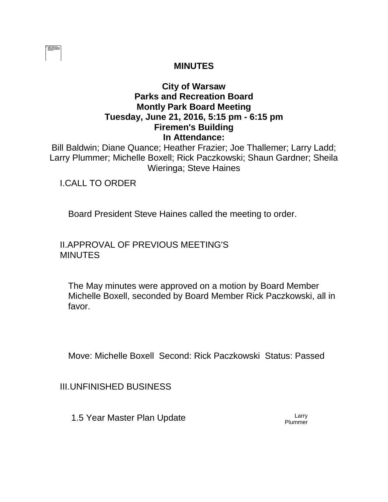|  | ------- |  |
|--|---------|--|
|  |         |  |
|  |         |  |
|  |         |  |
|  |         |  |
|  |         |  |
|  |         |  |

# **MINUTES**

# **City of Warsaw Parks and Recreation Board Montly Park Board Meeting Tuesday, June 21, 2016, 5:15 pm - 6:15 pm Firemen's Building In Attendance:**

Bill Baldwin; Diane Quance; Heather Frazier; Joe Thallemer; Larry Ladd; Larry Plummer; Michelle Boxell; Rick Paczkowski; Shaun Gardner; Sheila Wieringa; Steve Haines

I.CALL TO ORDER

Board President Steve Haines called the meeting to order.

II.APPROVAL OF PREVIOUS MEETING'S **MINUTES** 

The May minutes were approved on a motion by Board Member Michelle Boxell, seconded by Board Member Rick Paczkowski, all in favor.

Move: Michelle Boxell Second: Rick Paczkowski Status: Passed

III.UNFINISHED BUSINESS

1.5 Year Master Plan Update Larry

**Plummer**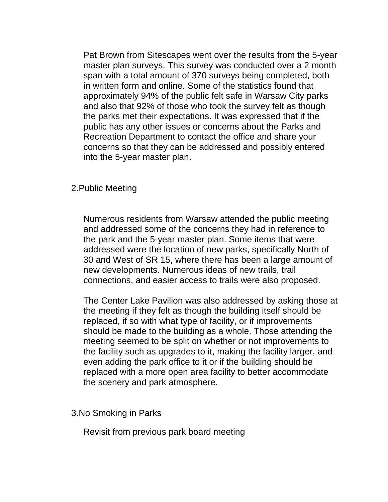Pat Brown from Sitescapes went over the results from the 5-year master plan surveys. This survey was conducted over a 2 month span with a total amount of 370 surveys being completed, both in written form and online. Some of the statistics found that approximately 94% of the public felt safe in Warsaw City parks and also that 92% of those who took the survey felt as though the parks met their expectations. It was expressed that if the public has any other issues or concerns about the Parks and Recreation Department to contact the office and share your concerns so that they can be addressed and possibly entered into the 5-year master plan.

#### 2.Public Meeting

Numerous residents from Warsaw attended the public meeting and addressed some of the concerns they had in reference to the park and the 5-year master plan. Some items that were addressed were the location of new parks, specifically North of 30 and West of SR 15, where there has been a large amount of new developments. Numerous ideas of new trails, trail connections, and easier access to trails were also proposed.

The Center Lake Pavilion was also addressed by asking those at the meeting if they felt as though the building itself should be replaced, if so with what type of facility, or if improvements should be made to the building as a whole. Those attending the meeting seemed to be split on whether or not improvements to the facility such as upgrades to it, making the facility larger, and even adding the park office to it or if the building should be replaced with a more open area facility to better accommodate the scenery and park atmosphere.

### 3.No Smoking in Parks

Revisit from previous park board meeting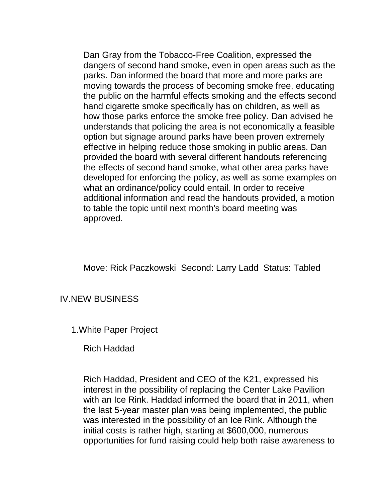Dan Gray from the Tobacco-Free Coalition, expressed the dangers of second hand smoke, even in open areas such as the parks. Dan informed the board that more and more parks are moving towards the process of becoming smoke free, educating the public on the harmful effects smoking and the effects second hand cigarette smoke specifically has on children, as well as how those parks enforce the smoke free policy. Dan advised he understands that policing the area is not economically a feasible option but signage around parks have been proven extremely effective in helping reduce those smoking in public areas. Dan provided the board with several different handouts referencing the effects of second hand smoke, what other area parks have developed for enforcing the policy, as well as some examples on what an ordinance/policy could entail. In order to receive additional information and read the handouts provided, a motion to table the topic until next month's board meeting was approved.

Move: Rick Paczkowski Second: Larry Ladd Status: Tabled

### IV.NEW BUSINESS

1.White Paper Project

Rich Haddad

Rich Haddad, President and CEO of the K21, expressed his interest in the possibility of replacing the Center Lake Pavilion with an Ice Rink. Haddad informed the board that in 2011, when the last 5-year master plan was being implemented, the public was interested in the possibility of an Ice Rink. Although the initial costs is rather high, starting at \$600,000, numerous opportunities for fund raising could help both raise awareness to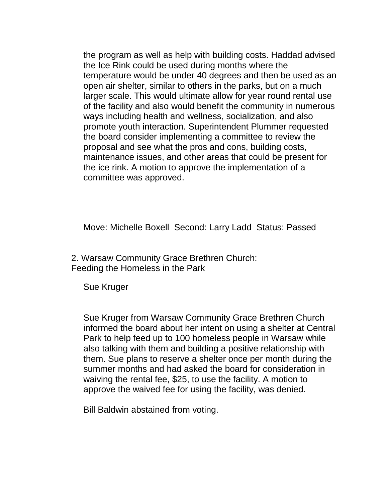the program as well as help with building costs. Haddad advised the Ice Rink could be used during months where the temperature would be under 40 degrees and then be used as an open air shelter, similar to others in the parks, but on a much larger scale. This would ultimate allow for year round rental use of the facility and also would benefit the community in numerous ways including health and wellness, socialization, and also promote youth interaction. Superintendent Plummer requested the board consider implementing a committee to review the proposal and see what the pros and cons, building costs, maintenance issues, and other areas that could be present for the ice rink. A motion to approve the implementation of a committee was approved.

Move: Michelle Boxell Second: Larry Ladd Status: Passed

2. Warsaw Community Grace Brethren Church: Feeding the Homeless in the Park

Sue Kruger

Sue Kruger from Warsaw Community Grace Brethren Church informed the board about her intent on using a shelter at Central Park to help feed up to 100 homeless people in Warsaw while also talking with them and building a positive relationship with them. Sue plans to reserve a shelter once per month during the summer months and had asked the board for consideration in waiving the rental fee, \$25, to use the facility. A motion to approve the waived fee for using the facility, was denied.

Bill Baldwin abstained from voting.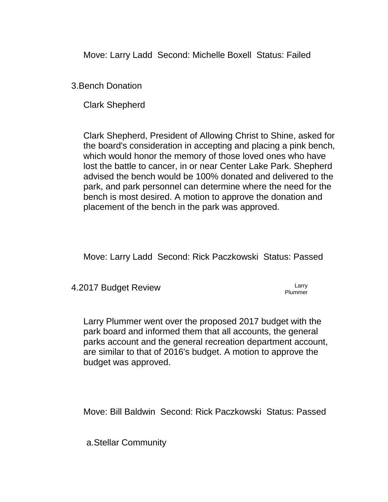Move: Larry Ladd Second: Michelle Boxell Status: Failed

3.Bench Donation

Clark Shepherd

Clark Shepherd, President of Allowing Christ to Shine, asked for the board's consideration in accepting and placing a pink bench, which would honor the memory of those loved ones who have lost the battle to cancer, in or near Center Lake Park. Shepherd advised the bench would be 100% donated and delivered to the park, and park personnel can determine where the need for the bench is most desired. A motion to approve the donation and placement of the bench in the park was approved.

Move: Larry Ladd Second: Rick Paczkowski Status: Passed

4.2017 Budget Review Larry

Plummer

Larry Plummer went over the proposed 2017 budget with the park board and informed them that all accounts, the general parks account and the general recreation department account, are similar to that of 2016's budget. A motion to approve the budget was approved.

Move: Bill Baldwin Second: Rick Paczkowski Status: Passed

a.Stellar Community